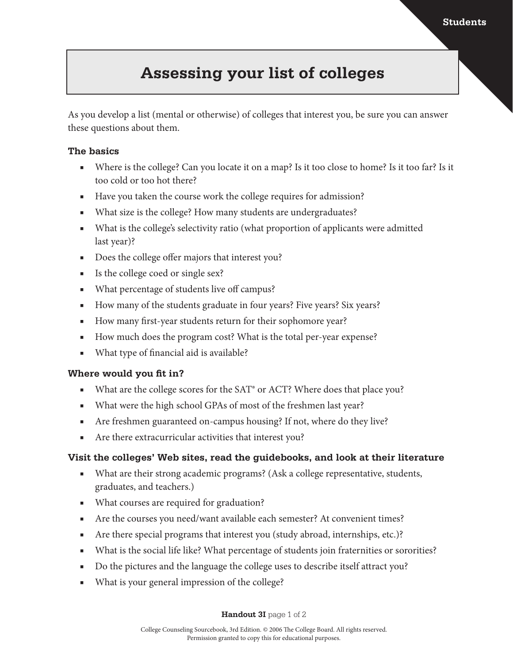#### **Students**

# **Assessing your list of colleges**

As you develop a list (mental or otherwise) of colleges that interest you, be sure you can answer these questions about them.

### **The basics**

- Where is the college? Can you locate it on a map? Is it too close to home? Is it too far? Is it too cold or too hot there?
- Have you taken the course work the college requires for admission?
- What size is the college? How many students are undergraduates?
- What is the college's selectivity ratio (what proportion of applicants were admitted last year)?
- Does the college offer majors that interest you?
- Is the college coed or single sex?
- What percentage of students live off campus?
- How many of the students graduate in four years? Five years? Six years?
- How many first-year students return for their sophomore year?
- How much does the program cost? What is the total per-year expense?
- What type of financial aid is available?

#### **Where would you fit in?**

- What are the college scores for the SAT® or ACT? Where does that place you?
- What were the high school GPAs of most of the freshmen last year?
- Are freshmen guaranteed on-campus housing? If not, where do they live?
- Are there extracurricular activities that interest you?

# **Visit the colleges' Web sites, read the guidebooks, and look at their literature**

- What are their strong academic programs? (Ask a college representative, students, graduates, and teachers.)
- What courses are required for graduation?
- Are the courses you need/want available each semester? At convenient times?
- Are there special programs that interest you (study abroad, internships, etc.)?
- What is the social life like? What percentage of students join fraternities or sororities?
- Do the pictures and the language the college uses to describe itself attract you?
- What is your general impression of the college?

#### **Handout 3I** page 1 of 2